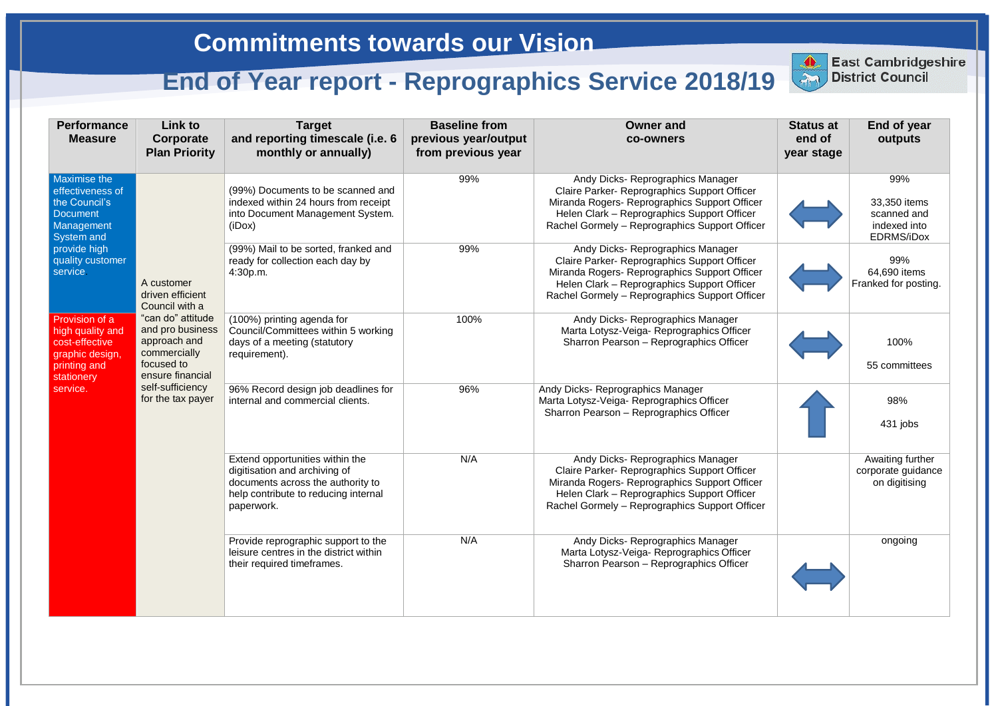## **Commitments towards our Vision**

## **End of Year report - Reprographics Service 2018/19** District Council

| <b>Performance</b><br><b>Measure</b>                                                                    | <b>Link to</b><br>Corporate<br><b>Plan Priority</b>                                                                                                                                                  | <b>Target</b><br>and reporting timescale (i.e. 6<br>monthly or annually)                                                                                    | <b>Baseline from</b><br>previous year/output<br>from previous year | <b>Owner and</b><br>co-owners                                                                                                                                                                                                       | <b>Status at</b><br>end of<br>year stage | End of y<br>outpu                                        |
|---------------------------------------------------------------------------------------------------------|------------------------------------------------------------------------------------------------------------------------------------------------------------------------------------------------------|-------------------------------------------------------------------------------------------------------------------------------------------------------------|--------------------------------------------------------------------|-------------------------------------------------------------------------------------------------------------------------------------------------------------------------------------------------------------------------------------|------------------------------------------|----------------------------------------------------------|
| <b>Maximise the</b><br>effectiveness of<br>the Council's<br><b>Document</b><br>Management<br>System and | A customer<br>driven efficient<br>Council with a<br>"can do" attitude<br>and pro business<br>approach and<br>commercially<br>focused to<br>ensure financial<br>self-sufficiency<br>for the tax payer | (99%) Documents to be scanned and<br>indexed within 24 hours from receipt<br>into Document Management System.<br>(iDox)                                     | 99%                                                                | Andy Dicks-Reprographics Manager<br>Claire Parker- Reprographics Support Officer<br>Miranda Rogers- Reprographics Support Officer<br>Helen Clark - Reprographics Support Officer<br>Rachel Gormely - Reprographics Support Officer  |                                          | 99%<br>33,350 it<br>scanned<br>indexed<br><b>EDRMS/i</b> |
| provide high<br>quality customer<br>service.                                                            |                                                                                                                                                                                                      | (99%) Mail to be sorted, franked and<br>ready for collection each day by<br>4:30p.m.                                                                        | 99%                                                                | Andy Dicks- Reprographics Manager<br>Claire Parker- Reprographics Support Officer<br>Miranda Rogers- Reprographics Support Officer<br>Helen Clark - Reprographics Support Officer<br>Rachel Gormely - Reprographics Support Officer |                                          | 99%<br>64,690 ite<br>Franked for p                       |
| Provision of a<br>high quality and<br>cost-effective<br>graphic design,<br>printing and<br>stationery   |                                                                                                                                                                                                      | (100%) printing agenda for<br>Council/Committees within 5 working<br>days of a meeting (statutory<br>requirement).                                          | 100%                                                               | Andy Dicks-Reprographics Manager<br>Marta Lotysz-Veiga- Reprographics Officer<br>Sharron Pearson - Reprographics Officer                                                                                                            |                                          | 100%<br>55 commi                                         |
| service.                                                                                                |                                                                                                                                                                                                      | 96% Record design job deadlines for<br>internal and commercial clients.                                                                                     | 96%                                                                | Andy Dicks- Reprographics Manager<br>Marta Lotysz-Veiga- Reprographics Officer<br>Sharron Pearson - Reprographics Officer                                                                                                           |                                          | 98%<br>431 job                                           |
|                                                                                                         |                                                                                                                                                                                                      | Extend opportunities within the<br>digitisation and archiving of<br>documents across the authority to<br>help contribute to reducing internal<br>paperwork. | N/A                                                                | Andy Dicks- Reprographics Manager<br>Claire Parker- Reprographics Support Officer<br>Miranda Rogers- Reprographics Support Officer<br>Helen Clark - Reprographics Support Officer<br>Rachel Gormely - Reprographics Support Officer |                                          | Awaiting fu<br>corporate gu<br>on digitis                |
|                                                                                                         |                                                                                                                                                                                                      | Provide reprographic support to the<br>leisure centres in the district within<br>their required timeframes.                                                 | N/A                                                                | Andy Dicks- Reprographics Manager<br>Marta Lotysz-Veiga-Reprographics Officer<br>Sharron Pearson - Reprographics Officer                                                                                                            |                                          | ongoin                                                   |



**East Cambridgeshire** 

|                     | <b>Status at</b><br>end of<br>year stage | <b>End of year</b><br>outputs                                    |
|---------------------|------------------------------------------|------------------------------------------------------------------|
| r                   |                                          | 99%                                                              |
| er<br>r<br>cer      |                                          | 33,350 items<br>scanned and<br>indexed into<br><b>EDRMS/iDox</b> |
| r<br>er<br>r<br>cer |                                          | 99%<br>64,690 items<br>Franked for posting.                      |
|                     |                                          | 100%                                                             |
|                     |                                          | 55 committees                                                    |
|                     |                                          | 98%                                                              |
|                     |                                          | 431 jobs                                                         |
| r<br>er<br>r<br>cer |                                          | Awaiting further<br>corporate guidance<br>on digitising          |
|                     |                                          | ongoing                                                          |